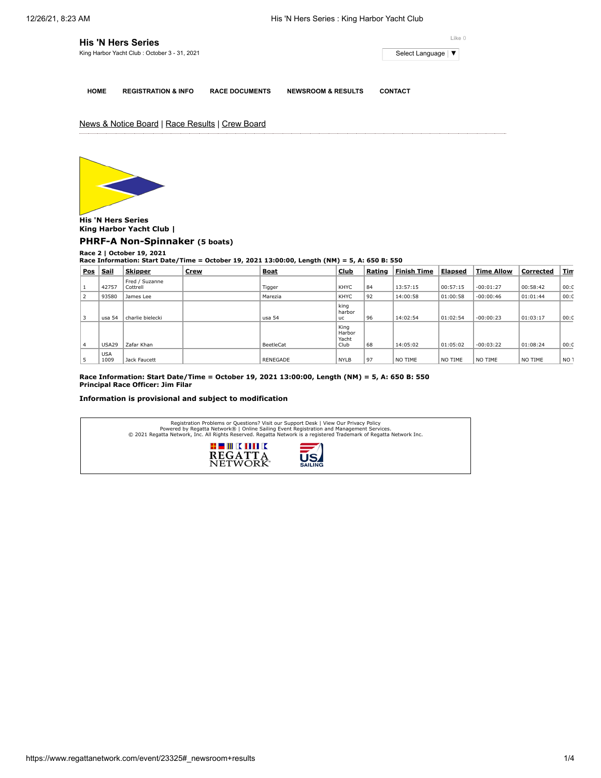| <b>His 'N Hers Series</b>                    |                     |  |  |
|----------------------------------------------|---------------------|--|--|
| King Harbor Yacht Club: October 3 - 31, 2021 | Select Language   ▼ |  |  |
|                                              |                     |  |  |

**HOME REGISTRATION & INFO RACE DOCUMENTS NEWSROOM & RESULTS CONTACT**

News & Notice Board | Race Results | Crew Board



**His 'N Hers Series King Harbor Yacht Club |**

**[PHRF-A Non-Spinnaker](https://www.regattanetwork.com/clubmgmt/applet_race_scores.php?regatta_id=23325&race_num=2&fleet=PHRF-A+Non-Spinnaker&show_crew=1) (5 boats)**

**Race 2 | October 19, 2021 Race Information: Start Date/Time = October 19, 2021 13:00:00, Length (NM) = 5, A: 650 B: 550**

| <b>Pos</b> | <b>Sail</b>        | <b>Skipper</b>             | Crew | <b>Boat</b>     | <b>Club</b>                     | Rating | <b>Finish Time</b> | <b>Elapsed</b> | <b>Time Allow</b> | Corrected | <u>Tin</u>      |
|------------|--------------------|----------------------------|------|-----------------|---------------------------------|--------|--------------------|----------------|-------------------|-----------|-----------------|
|            | 42757              | Fred / Suzanne<br>Cottrell |      | Tigger          | KHYC                            | 84     | 13:57:15           | 00:57:15       | $-00:01:27$       | 00:58:42  | 00:0            |
| 2          | 93580              | James Lee                  |      | Marezia         | KHYC                            | 92     | 14:00:58           | 01:00:58       | $-00:00:46$       | 01:01:44  | 00:0            |
| 3          | usa 54             | charlie bielecki           |      | usa 54          | king<br>harbor<br><b>uc</b>     | 96     | 14:02:54           | 01:02:54       | $-00:00:23$       | 01:03:17  | 00:0            |
| 4          | USA29              | Zafar Khan                 |      | BeetleCat       | King<br>Harbor<br>Yacht<br>Club | 68     | 14:05:02           | 01:05:02       | $-00:03:22$       | 01:08:24  | 00:0            |
| 5          | <b>USA</b><br>1009 | Jack Faucett               |      | <b>RENEGADE</b> | <b>NYLB</b>                     | 97     | NO TIME            | NO TIME        | NO TIME           | NO TIME   | NO <sub>1</sub> |

**Race Information: Start Date/Time = October 19, 2021 13:00:00, Length (NM) = 5, A: 650 B: 550 Principal Race Officer: Jim Filar**

**Information is provisional and subject to modification**

| Registration Problems or Questions? Visit our Support Desk   View Our Privacy Policy<br>Powered by Regatta Network®   Online Sailing Event Registration and Management Services.<br>© 2021 Regatta Network, Inc. All Rights Reserved. Regatta Network is a registered Trademark of Regatta Network Inc. |
|---------------------------------------------------------------------------------------------------------------------------------------------------------------------------------------------------------------------------------------------------------------------------------------------------------|
| # III K MILK<br>之<br><b>REGATTA</b><br><b>NETWOK</b><br><b>SAILING</b>                                                                                                                                                                                                                                  |